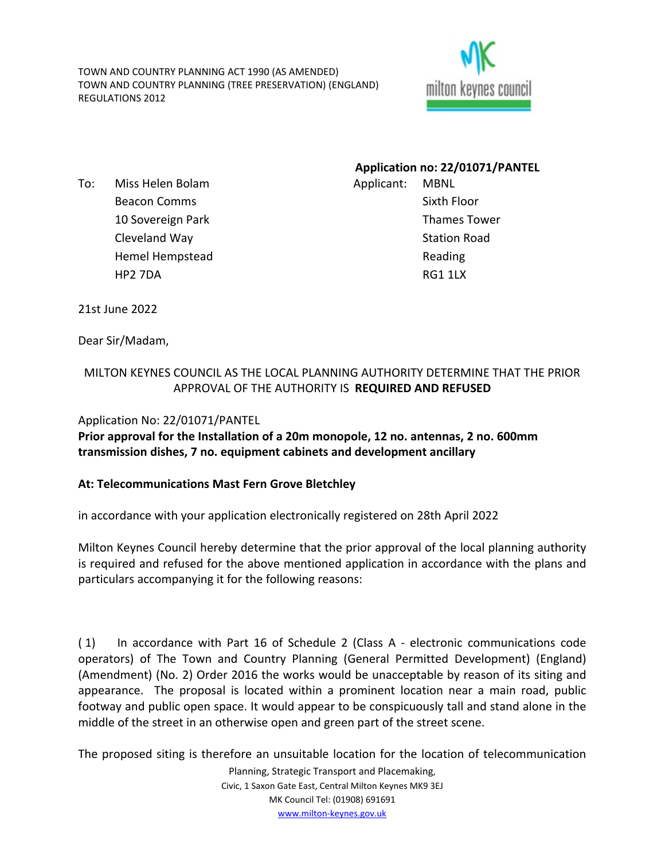TOWN AND COUNTRY PLANNING ACT 1990 (AS AMENDED) TOWN AND COUNTRY PLANNING (TREE PRESERVATION) (ENGLAND) REGULATIONS 2012



To: Miss Helen Bolam Beacon Comms 10 Sovereign Park Cleveland Way Hemel Hempstead HP2 7DA

**Application no: 22/01071/PANTEL** Applicant: MBNL Sixth Floor Thames Tower Station Road Reading RG1 1LX

21st June 2022

Dear Sir/Madam,

## MILTON KEYNES COUNCIL AS THE LOCAL PLANNING AUTHORITY DETERMINE THAT THE PRIOR APPROVAL OF THE AUTHORITY IS **REQUIRED AND REFUSED**

## Application No: 22/01071/PANTEL

**Prior approval for the Installation of a 20m monopole, 12 no. antennas, 2 no. 600mm transmission dishes, 7 no. equipment cabinets and development ancillary**

## **At: Telecommunications Mast Fern Grove Bletchley**

in accordance with your application electronically registered on 28th April 2022

Milton Keynes Council hereby determine that the prior approval of the local planning authority is required and refused for the above mentioned application in accordance with the plans and particulars accompanying it for the following reasons:

( 1) In accordance with Part 16 of Schedule 2 (Class A - electronic communications code operators) of The Town and Country Planning (General Permitted Development) (England) (Amendment) (No. 2) Order 2016 the works would be unacceptable by reason of its siting and appearance. The proposal is located within a prominent location near a main road, public footway and public open space. It would appear to be conspicuously tall and stand alone in the middle of the street in an otherwise open and green part of the street scene.

The proposed siting is therefore an unsuitable location for the location of telecommunication

Planning, Strategic Transport and Placemaking, Civic, 1 Saxon Gate East, Central Milton Keynes MK9 3EJ MK Council Tel: (01908) 691691 [www.milton-keynes.gov.uk](http://www.milton-keynes.gov.uk/)